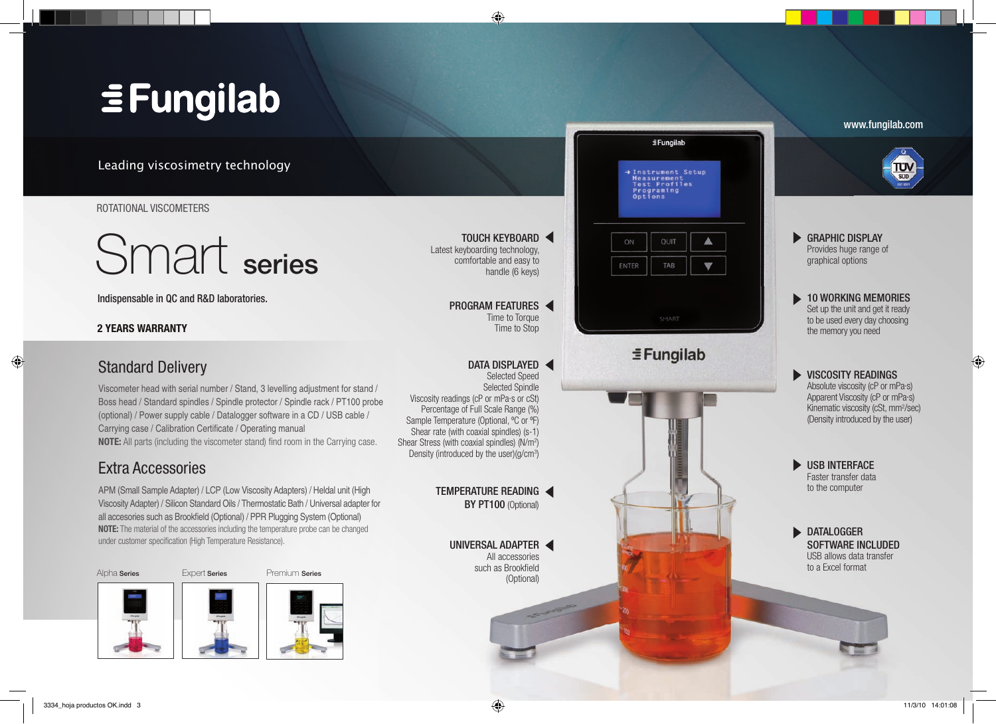## $\equiv$  Fungilab

Leading viscosimetry technology

#### ROTATIONAL VISCOMETERS

# Smart series

Indispensable in QC and R&D laboratories.

## **2 YEARS WARRANTY**

## Standard Delivery

Viscometer head with serial number / Stand, 3 levelling adjustment for stand / Boss head / Standard spindles / Spindle protector / Spindle rack / PT100 probe (optional) / Power supply cable / Datalogger software in a CD / USB cable / Carrying case / Calibration Certificate / Operating manual **NOTE:** All parts (including the viscometer stand) find room in the Carrying case.

## Extra Accessories

APM (Small Sample Adapter) / LCP (Low Viscosity Adapters) / Heldal unit (High Viscosity Adapter) / Silicon Standard Oils / Thermostatic Bath / Universal adapter for all accesories such as Brookfield (Optional) / PPR Plugging System (Optional) **NOTE:** The material of the accessories including the temperature probe can be changed under customer specification (High Temperature Resistance).



www.fungilab.com **EFungilab** Instrument Setup Measurement<br>Test Profiles Programing TOUCH KEYBOARD  $\blacktriangleright$ GRAPHIC DISPLAY OUIT Latest keyboarding technology, Provides huge range of comfortable and easy to graphical options ENTER TAB handle (6 keys) 10 WORKING MEMORIES Ь PROGRAM FEATURES Set up the unit and get it ready Time to Torque to be used every day choosing Time to Stop the memory you need  $\equiv$ Fungilab DATA DISPLAYED  $\blacktriangleright$ VISCOSITY READINGS Selected Speed Absolute viscosity (cP or mPa·s) Selected Spindle Apparent Viscosity (cP or mPa·s) Viscosity readings (cP or mPa·s or cSt) Percentage of Full Scale Range (%) Kinematic viscosity (cSt, mm<sup>2</sup>/sec) (Density introduced by the user) Sample Temperature (Optional, ºC or ºF) Shear rate (with coaxial spindles) (s-1) Shear Stress (with coaxial spindles) (N/m<sup>2</sup>) Density (introduced by the user) $(g/cm^3)$  $\blacktriangleright$ USB INTERFACE Faster transfer data to the computer TEMPERATURE READING BY PT100 (Optional)  $\blacktriangleright$ DATALOGGER UNIVERSAL ADAPTER SOFTWARE INCLUDED All accessories USB allows data transfer to a Excel format such as Brookfield (Optional)